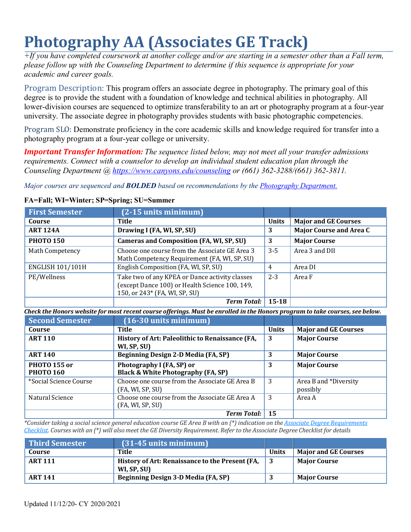# **Photography AA (Associates GE Track)**

*+If you have completed coursework at another college and/or are starting in a semester other than a Fall term, please follow up with the Counseling Department to determine if this sequence is appropriate for your academic and career goals.*

Program Description: This program offers an associate degree in photography. The primary goal of this degree is to provide the student with a foundation of knowledge and technical abilities in photography. All lower-division courses are sequenced to optimize transferability to an art or photography program at a four-year university. The associate degree in photography provides students with basic photographic competencies.

Program SLO: Demonstrate proficiency in the core academic skills and knowledge required for transfer into a photography program at a four-year college or university.

*Important Transfer Information: The sequence listed below, may not meet all your transfer admissions requirements. Connect with a counselor to develop an individual student education plan through the Counseling Department @ https:/[/www.canyons.edu/counseling o](http://www.canyons.edu/counseling)r (661) 362-3288/(661) 362-3811.* 

*Major courses are sequenced and BOLDED based on recommendations by the Photography Department.* 

| <b>First Semester</b>                   | (2-15 units minimum)                                                                                                              |              |                                   |
|-----------------------------------------|-----------------------------------------------------------------------------------------------------------------------------------|--------------|-----------------------------------|
| Course                                  | <b>Title</b>                                                                                                                      | <b>Units</b> | <b>Major and GE Courses</b>       |
| <b>ART 124A</b>                         | Drawing I (FA, WI, SP, SU)                                                                                                        | 3            | <b>Major Course and Area C</b>    |
| <b>PHOTO 150</b>                        | <b>Cameras and Composition (FA, WI, SP, SU)</b>                                                                                   | 3            | <b>Major Course</b>               |
| Math Competency                         | Choose one course from the Associate GE Area 3<br>Math Competency Requirement (FA, WI, SP, SU)                                    | $3 - 5$      | Area 3 and DII                    |
| <b>ENGLISH 101/101H</b>                 | English Composition (FA, WI, SP, SU)                                                                                              | 4            | Area DI                           |
| PE/Wellness                             | Take two of any KPEA or Dance activity classes<br>(except Dance 100) or Health Science 100, 149,<br>150, or 243* (FA, WI, SP, SU) | $2 - 3$      | Area F                            |
|                                         | <b>Term Total:</b>                                                                                                                | $15 - 18$    |                                   |
|                                         | Check the Honors website for most recent course offerings. Must be enrolled in the Honors program to take courses, see below.     |              |                                   |
| <b>Second Semester</b>                  | $(16-30$ units minimum)                                                                                                           |              |                                   |
| Course                                  | <b>Title</b>                                                                                                                      | <b>Units</b> | <b>Major and GE Courses</b>       |
| <b>ART 110</b>                          | History of Art: Paleolithic to Renaissance (FA,<br>WI, SP, SU)                                                                    | 3            | <b>Major Course</b>               |
| <b>ART 140</b>                          | Beginning Design 2-D Media (FA, SP)                                                                                               | 3            | <b>Major Course</b>               |
| <b>PHOTO 155 or</b><br><b>PHOTO 160</b> | Photography I (FA, SP) or<br><b>Black &amp; White Photography (FA, SP)</b>                                                        | 3            | <b>Major Course</b>               |
| *Social Science Course                  | Choose one course from the Associate GE Area B<br>(FA, WI, SP, SU)                                                                | 3            | Area B and *Diversity<br>possibly |
| Natural Science                         | Choose one course from the Associate GE Area A<br>(FA, WI, SP, SU)                                                                | 3            | Area A                            |
|                                         | <b>Term Total:</b>                                                                                                                | 15           |                                   |

# **FA=Fall; WI=Winter; SP=Spring; SU=Summer**

*\*Consider taking a social science general education course GE Area B with an (\*) indication on the Associate Degree Requirements* Checklist. Courses with an (\*) will also meet the GE Diversity Requirement. Refer to the Associate Degree Checklist for details

| <b>Third Semester</b> | $(31-45$ units minimum)                                        |              |                             |
|-----------------------|----------------------------------------------------------------|--------------|-----------------------------|
| Course                | Title                                                          | <b>Units</b> | <b>Major and GE Courses</b> |
| <b>ART 111</b>        | History of Art: Renaissance to the Present (FA,<br>WI, SP, SU) |              | <b>Major Course</b>         |
| <b>ART 141</b>        | Beginning Design 3-D Media (FA, SP)                            |              | <b>Major Course</b>         |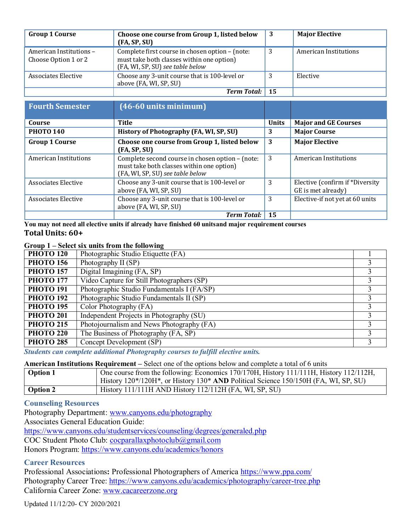| <b>Group 1 Course</b>                           | Choose one course from Group 1, listed below<br>(FA, SP, SU)                                                                     | -3 | <b>Major Elective</b> |
|-------------------------------------------------|----------------------------------------------------------------------------------------------------------------------------------|----|-----------------------|
| American Institutions -<br>Choose Option 1 or 2 | Complete first course in chosen option - (note:<br>must take both classes within one option)<br>(FA, WI, SP, SU) see table below | 3  | American Institutions |
| Associates Elective                             | Choose any 3-unit course that is 100-level or<br>above (FA, WI, SP, SU)                                                          |    | Elective              |
|                                                 | <b>Term Total:</b> 15                                                                                                            |    |                       |

| <b>Fourth Semester</b>       | (46-60 units minimum)                                                                                                             |              |                                                       |
|------------------------------|-----------------------------------------------------------------------------------------------------------------------------------|--------------|-------------------------------------------------------|
| Course                       | <b>Title</b>                                                                                                                      | <b>Units</b> | <b>Major and GE Courses</b>                           |
| <b>PHOTO 140</b>             | History of Photography (FA, WI, SP, SU)                                                                                           | 3            | <b>Major Course</b>                                   |
| <b>Group 1 Course</b>        | Choose one course from Group 1, listed below<br>(FA, SP, SU)                                                                      | 3            | <b>Major Elective</b>                                 |
| <b>American Institutions</b> | Complete second course in chosen option - (note:<br>must take both classes within one option)<br>(FA, WI, SP, SU) see table below | 3            | <b>American Institutions</b>                          |
| Associates Elective          | Choose any 3-unit course that is 100-level or<br>above (FA, WI, SP, SU)                                                           | 3            | Elective (confirm if *Diversity<br>GE is met already) |
| Associates Elective          | Choose any 3-unit course that is 100-level or<br>above (FA, WI, SP, SU)                                                           | 3            | Elective-if not yet at 60 units                       |
|                              | <b>Term Total:</b>                                                                                                                | 15           |                                                       |

**You may not need all elective units if already have finished 60 unitsand major requirement courses Total Units: 60+**

# **Group 1 – Select six units from the following**

| <b>PHOTO 120</b> | Photographic Studio Etiquette (FA)         |  |
|------------------|--------------------------------------------|--|
| <b>PHOTO 156</b> | Photography II (SP)                        |  |
| <b>PHOTO 157</b> | Digital Imagining (FA, SP)                 |  |
| <b>PHOTO 177</b> | Video Capture for Still Photographers (SP) |  |
| <b>PHOTO 191</b> | Photographic Studio Fundamentals I (FA/SP) |  |
| <b>PHOTO 192</b> | Photographic Studio Fundamentals II (SP)   |  |
| <b>PHOTO 195</b> | Color Photography (FA)                     |  |
| <b>PHOTO 201</b> | Independent Projects in Photography (SU)   |  |
| <b>PHOTO 215</b> | Photojournalism and News Photography (FA)  |  |
| <b>PHOTO 220</b> | The Business of Photography (FA, SP)       |  |
| <b>PHOTO 285</b> | Concept Development (SP)                   |  |

*Students can complete additional Photography courses to fulfill elective units.*

#### **American Institutions Requirement –** Select one of the options below and complete a total of 6 units

| <b>Option 1</b> | One course from the following: Economics 170/170H, History 111/111H, History 112/112H,<br>History 120*/120H*, or History 130* AND Political Science 150/150H (FA, WI, SP, SU) |
|-----------------|-------------------------------------------------------------------------------------------------------------------------------------------------------------------------------|
| <b>Option 2</b> | History $111/111H$ AND History $112/112H$ (FA, WI, SP, SU)                                                                                                                    |

# **Counseling Resources**

Photography Department: [www.canyons.edu/photography](http://www.canyons.edu/photography) Associates General Education Guide: https:/[/www.canyons.edu/studentservices/counseling/degrees/generaled.php](http://www.canyons.edu/studentservices/counseling/degrees/generaled.php) COC Student Photo Club: [cocparallaxphotoclub@gmail.com](mailto:cocparallaxphotoclub@gmail.com) Honors Program: https:/[/www.canyons.edu/academics/honors](http://www.canyons.edu/academics/honors)

# **Career Resources**

Professional Associations**:** Professional Photographers of America https:/[/www.ppa.com/](http://www.ppa.com/) Photography Career Tree: https:/[/www.canyons.edu/academics/photography/career-tree.php](http://www.canyons.edu/academics/photography/career-tree.php) California Career Zone: [www.cacareerzone.org](http://www.cacareerzone.org/)